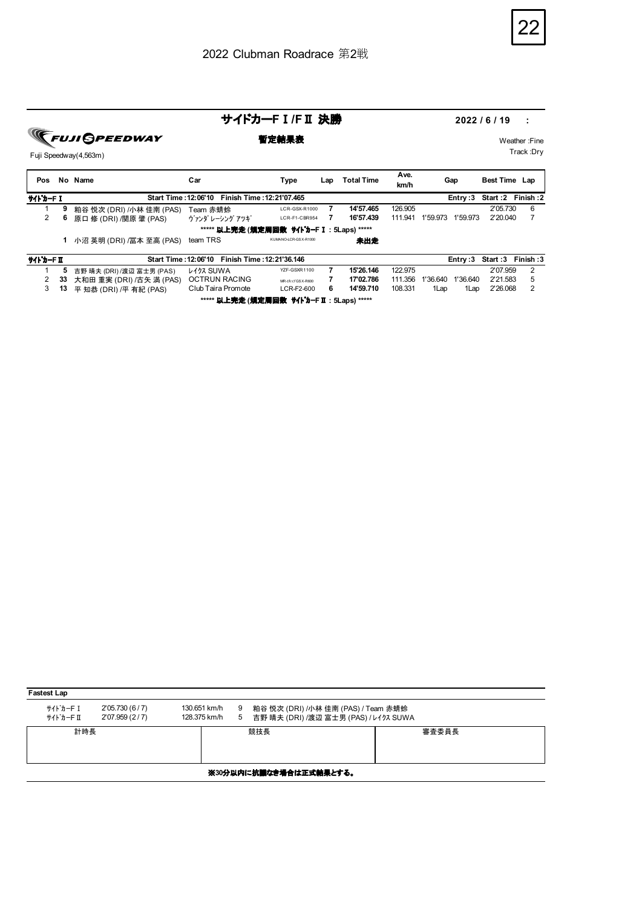

**FUJI GPEEDWAY** 

Fuji Speedway(4,563m)

サイドカー**F**Ⅰ**/F**Ⅱ 決勝 **2022 / 6 / 19 :** 

**暫定結果表** Weather :Fine Track :Dry

| Pos       |        | No Name                   | Car                                            | Type                 | Lap | <b>Total Time</b> | Ave.<br>km/h | Gap                  | <b>Best Time Lap</b> |   |
|-----------|--------|---------------------------|------------------------------------------------|----------------------|-----|-------------------|--------------|----------------------|----------------------|---|
| サイト・カーFI  |        |                           | Start Time: 12:06'10 Finish Time: 12:21'07.465 |                      |     |                   |              | Entry :3             | Start: 2 Finish: 2   |   |
|           | 9      | 粕谷 悦次 (DRI) /小林 佳南 (PAS)  | Team 赤蜻蛉                                       | LCR-GSX-R1000        | 7   | 14'57.465         | 126.905      |                      | 2'05.730             | 6 |
| 2         | 6      | 原口 修 (DRI) /関原 肇 (PAS)    | ヴァンダ レーシング アツギ                                 | LCR-F1-CBR954        |     | 16'57.439         | 111.941      | 1'59.973<br>1'59.973 | 2'20.040             |   |
|           |        |                           | ***** 以上完走 (規定周回数 サイトカーF I : 5Laps) *****      |                      |     |                   |              |                      |                      |   |
|           |        | 小沼 英明 (DRI) /冨本 至高 (PAS)  | team TRS                                       | KUMANO-LCR-GSX-R1000 |     | 未出走               |              |                      |                      |   |
| サイト・カード エ |        |                           | Start Time: 12:06'10 Finish Time: 12:21'36.146 |                      |     |                   |              | Entry :3             | Start: 3 Finish: 3   |   |
|           |        | 吉野 晴夫 (DRI) /渡辺 富士男 (PAS) | <b>L477 SUWA</b>                               | YZF-GSXR1100         |     | 15'26.146         | 122.975      |                      | 2'07.959             | 2 |
| $\sim$    | $\sim$ |                           | <b>OCTDUM DACING</b>                           |                      |     | 47,007,700        | 444.0EC      | A100000A0A10000A0    | QIAE02               |   |

| ***** <b>以上完走 (規定周回数 サイドカ-FⅡ:5Laps) *****</b> |  |                                             |                    |                    |     |           |         |      |                           |          |  |
|-----------------------------------------------|--|---------------------------------------------|--------------------|--------------------|-----|-----------|---------|------|---------------------------|----------|--|
|                                               |  | 3 13 平 知恭 (DRI) /平 有紀 (PAS)                 | Club Taira Promote | LCR-F2-600         | - 6 | 14'59.710 | 108.331 | 1Lap | 1Lap                      | 2'26.068 |  |
|                                               |  | 2 33 大和田 重実 (DRI) /古矢 満 (PAS) OCTRUN RACING |                    | MR-I# 77 GS X-R600 |     | 17'02.786 |         |      | 111.356 1'36.640 1'36.640 | 2'21.583 |  |
|                                               |  | 5 吉野 晴夫 (DRI) /渡辺 富士男 (PAS)                 | レイクス SUWA          | YZF-GSXR1100       |     | 15'26.146 | 122.975 |      |                           | 2'07.959 |  |

| <b>Fastest Lap</b>    |                                    |                              |        |                                                                              |       |  |  |  |  |  |  |
|-----------------------|------------------------------------|------------------------------|--------|------------------------------------------------------------------------------|-------|--|--|--|--|--|--|
| サイト゛カーFI<br>サイト゛カーF Ⅱ | 2'05.730 (6 / 7)<br>2'07.959 (2/7) | 130.651 km/h<br>128.375 km/h | 9<br>5 | 粕谷 悦次 (DRI) /小林 佳南 (PAS) / Team 赤蜻蛉<br>吉野 晴夫 (DRI) /渡辺 富士男 (PAS) / レイクス SUWA |       |  |  |  |  |  |  |
| 計時長                   |                                    |                              |        | 競技長                                                                          | 審査委員長 |  |  |  |  |  |  |
|                       | ※30分以内に抗議なき場合は正式結果とする。             |                              |        |                                                                              |       |  |  |  |  |  |  |
|                       |                                    |                              |        |                                                                              |       |  |  |  |  |  |  |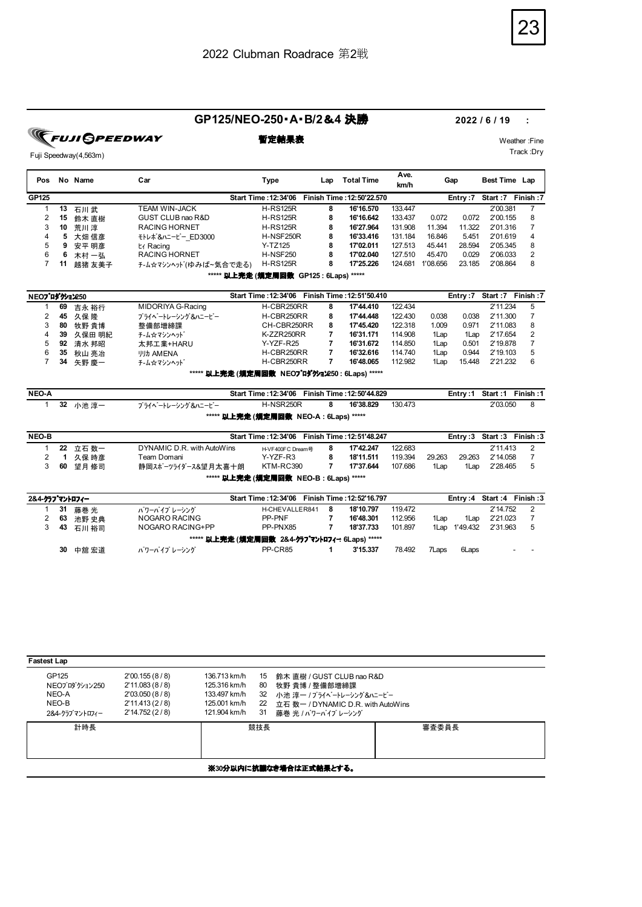### **GP125/NEO-250**・**A**・**B/2**&**4** 決勝 **2022 / 6 / 19 :**

**FUJI OPEE** 

Fuji Speedway(4,563m)

| Pos           | No | Name   | Car                   | Type                                              | Lap | <b>Total Time</b>         | Ave.<br>km/h | Gap      |         | Best Time Lap    |          |
|---------------|----|--------|-----------------------|---------------------------------------------------|-----|---------------------------|--------------|----------|---------|------------------|----------|
| GP125         |    |        |                       | <b>Start Time: 12:34'06</b>                       |     | Finish Time: 12:50'22.570 |              |          | Entry:7 | Start:7 Finish:7 |          |
|               | 13 | 石川武    | TEAM WIN-JACK         | <b>H-RS125R</b>                                   | 8   | 16'16.570                 | 133.447      |          |         | 2'00.381         |          |
| 2             | 15 | 鈴木 直樹  | GUST CLUB nao R&D     | <b>H-RS125R</b>                                   | 8   | 16'16.642                 | 133.437      | 0.072    | 0.072   | 2'00.155         | 8        |
| 3             | 10 | 荒川淳    | <b>RACING HORNET</b>  | <b>H-RS125R</b>                                   | 8   | 16'27.964                 | 131.908      | 11.394   | 11.322  | 2'01.316         |          |
| 4             | 5  | 大畑 信彦  | モトレポ&ハニービー ED3000     | H-NSF250R                                         | 8   | 16'33.416                 | 131.184      | 16.846   | 5.451   | 2'01.619         | 4        |
| 5             | 9  | 安平 明彦  | t∡ Racing             | $Y-TZ125$                                         | 8   | 17'02.011                 | 127.513      | 45.441   | 28.594  | 2'05.345         | 8        |
| 6             | 6  | 木村 一弘  | <b>RACING HORNET</b>  | <b>H-NSF250</b>                                   | 8   | 17'02.040                 | 127.510      | 45.470   | 0.029   | 2'06.033         | 2        |
| 7             | 11 | 越猪 友美子 | チーム☆マシンヘッド(ゆみば~気合で走る) | <b>H-RS125R</b>                                   | 8   | 17'25.226                 | 124.681      | 1'08.656 | 23.185  | 2'08.864         | 8        |
|               |    |        |                       | ***** <b>以上完走 (規定周回数 GP125 : 6Laps) *****</b>     |     |                           |              |          |         |                  |          |
| NEOプロダクション250 |    |        |                       | Start Time: 12:34'06    Finish Time: 12:51'50.410 |     |                           |              |          | Entry:7 | Start:7          | Finish:7 |
|               | 69 | 吉永 裕行  | MIDORIYA G-Racing     | H-CBR250RR                                        | 8   | 17'44.410                 | 122.434      |          |         | 2'11.234         | 5        |
| 2             | 45 | 久保降    | プライヘートレーシング&ハニービー     | H-CBR250RR                                        | 8   | 17'44.448                 | 122.430      | 0.038    | 0.038   | 2'11.300         |          |
| 3             | 80 | 牧野 貴博  | 整備部増締課                | CH-CBR250RR                                       | 8   | 17'45.420                 | 122.318      | 1.009    | 0.971   | 2'11.083         | 8        |
| 4             | 39 | 久保田 明紀 | チ-ム☆マシンヘット゛           | K-ZZR250RR                                        |     | 16'31.171                 | 114.908      | 1Lap     | 1Lap    | 2'17.654         | 2        |
| 5             | 92 | 清水 邦昭  | 太邦工業+HARU             | Y-YZF-R25                                         |     | 16'31.672                 | 114.850      | 1Lap     | 0.501   | 2'19.878         |          |
| 6             | 35 | 秋山 亮冶  | <b>リリカ AMENA</b>      | H-CBR250RR                                        | 7   | 16'32.616                 | 114.740      | 1Lap     | 0.944   | 2'19.103         | 5        |
|               | 34 | 矢野 慶一  | チ‐ム☆マシンヘット゛           | H-CBR250RR                                        |     | 16'48.065                 | 112.982      | 1Lap     | 15.448  | 2'21.232         | 6        |

**\*\*\*\*\*** 以上完走 **(**規定周回数 **NEO**プロダクション**250 : 6Laps) \*\*\*\*\***

| <b>NEO-A</b>                                  |  |          |                   | Start Time: 12:34'06    Finish Time: 12:50'44.829 |    |           |         |  |          | Entry:1 Start:1 Finish:1 |  |
|-----------------------------------------------|--|----------|-------------------|---------------------------------------------------|----|-----------|---------|--|----------|--------------------------|--|
|                                               |  | 32 小池 淳一 | プライベートレーシング&ハニービー | H-NSR250R                                         | -8 | 16'38.829 | 130.473 |  | 2'03.050 |                          |  |
| ***** <b>以上完走 (規定周回数 NEO-A : 6Laps) *****</b> |  |          |                   |                                                   |    |           |         |  |          |                          |  |

| NEO-B                                         |  |         |                            | <b>Start Time: 12:34'06</b> |  | Finish Time: 12:51'48.247 |         |        |        | Entry:3 Start:3 Finish:3 |  |  |
|-----------------------------------------------|--|---------|----------------------------|-----------------------------|--|---------------------------|---------|--------|--------|--------------------------|--|--|
|                                               |  | 22 立石数一 | DYNAMIC D.R. with AutoWins | H-VF400FC Dream号            |  | 17'42.247                 | 122.683 |        |        | 2'11.413                 |  |  |
|                                               |  | 久保 時彦   | Team Domani                | Y-YZF-R3                    |  | 18'11.511                 | 119.394 | 29.263 | 29.263 | 2'14.058                 |  |  |
|                                               |  | 60 望月修司 | 静岡スポーツライダース&望月太喜十朗         | KTM-RC390                   |  | 17'37.644                 | 107.686 | 1 Lan  | 1Lap   | 2'28.465                 |  |  |
| ***** <b>以上完走 (規定周回数 NEO-B : 6Laps) *****</b> |  |         |                            |                             |  |                           |         |        |        |                          |  |  |

| 2&4-クラブマントロフィー                                 |    |          |                  | Start Time: 12:34'06    Finish Time: 12:52'16.797 |   |           |         |       |          |          | Entry: 4 Start: 4 Finish: 3     |  |
|------------------------------------------------|----|----------|------------------|---------------------------------------------------|---|-----------|---------|-------|----------|----------|---------------------------------|--|
|                                                | 31 | 藤巻 光     | パワーパイプ レーシング     | H-CHEVALLER841                                    | 8 | 18'10.797 | 119.472 |       |          | 2'14.752 |                                 |  |
|                                                | 63 | 池野 史典    | NOGARO RACING    | PP-PNF                                            |   | 16'48.301 | 112.956 | 1Lap  | 1Lap     | 2'21.023 |                                 |  |
|                                                |    | 43 石川 裕司 | NOGARO RACING+PP | PP-PNX85                                          |   | 18'37.733 | 101.897 | 1Lap  | 1'49.432 | 2'31.963 |                                 |  |
| ***** 以上完走 (規定周回数 2&4-クラブマントロフィー: 6Laps) ***** |    |          |                  |                                                   |   |           |         |       |          |          |                                 |  |
|                                                | 30 | 中舘 宏道    | パワーパイプ レーシング     | PP-CR85                                           |   | 3'15.337  | 78.492  | 7Laps | 6Laps    |          | $\overline{\phantom{a}}$<br>. . |  |

| <b>Fastest Lap</b>                                         |                                                                                   |                                                                              |                            |                                                                                                                                     |       |  |  |  |
|------------------------------------------------------------|-----------------------------------------------------------------------------------|------------------------------------------------------------------------------|----------------------------|-------------------------------------------------------------------------------------------------------------------------------------|-------|--|--|--|
| GP125<br>NEOプロダクション250<br>NEO-A<br>NEO-B<br>2&4-クラブマントロフィー | 2'00.155(8/8)<br>2'11.083(8/8)<br>2'03.050(8/8)<br>2'11.413(2/8)<br>2'14.752(2/8) | 136.713 km/h<br>125.316 km/h<br>133.497 km/h<br>125,001 km/h<br>121.904 km/h | 15<br>80<br>32<br>22<br>31 | 鈴木 直樹 / GUST CLUB nao R&D<br>牧野 貴博 / 整備部増締課<br>小池 淳一 /プライベートレーシング&ハニービー<br>立石 数一 / DYNAMIC D.R. with AutoWins<br>藤巻 光 / パワーパイプレーシング |       |  |  |  |
| 計時長                                                        |                                                                                   |                                                                              | 競技長                        |                                                                                                                                     | 審査委員長 |  |  |  |
| ※30分以内に抗議なき場合は正式結果とする。                                     |                                                                                   |                                                                              |                            |                                                                                                                                     |       |  |  |  |



**暫定結果表** Weather :Fine

Track :Dry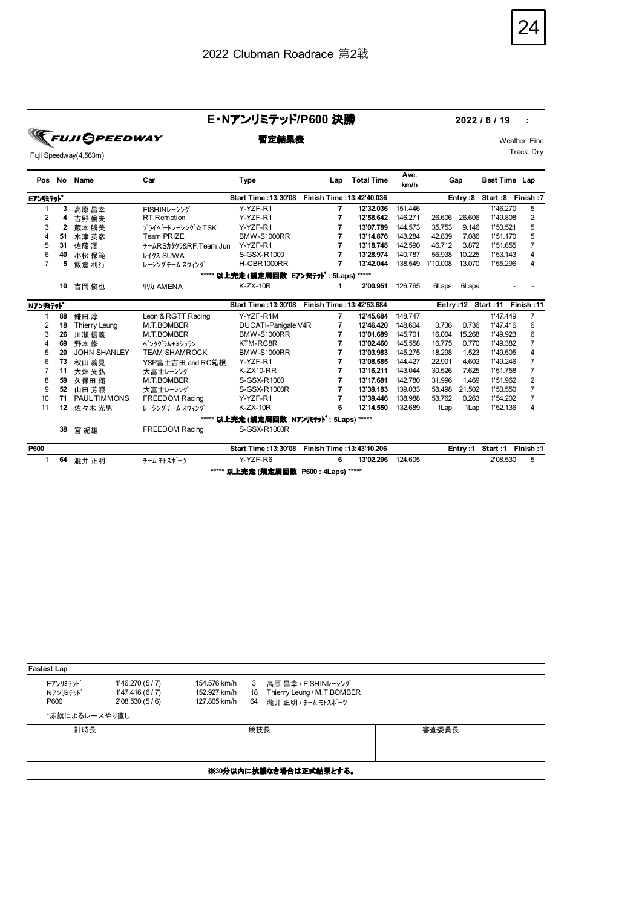# 24

Track :Dry

### **E**・**N**アンリミテッド**/P600** 決勝 **2022 / 6 / 19 :**

**TEUJI SPEEDWAY** 

### Fuji Speedway(4,563m)

| Pos             | No       | Name                         | Car                                  | Type                                      | Lap                       | <b>Total Time</b> | Ave.<br>km/h | Gap              |         | Best Time Lap                   |                |
|-----------------|----------|------------------------------|--------------------------------------|-------------------------------------------|---------------------------|-------------------|--------------|------------------|---------|---------------------------------|----------------|
| <b>Eアンリミテット</b> |          |                              |                                      | Start Time: 13:30'08                      | Finish Time: 13:42'40.036 |                   |              |                  |         | Entry:8 Start:8 Finish:7        |                |
|                 | 3        | 高原 昌幸                        | EISHINレーシング                          | Y-YZF-R1                                  | 7                         | 12'32.036         | 151.446      |                  |         | 1'46.270                        | 5              |
| 2               | 4        | 吉野 倫夫                        | RT.Remotion                          | Y-YZF-R1                                  | 7                         | 12'58.642         | 146.271      | 26.606           | 26.606  | 1'49.808                        | $\overline{2}$ |
| 3               | 2        | 蔵本 勝美                        | プライベートレーシング☆TSK                      | Y-YZF-R1                                  | 7                         | 13'07.789         | 144.573      | 35.753           | 9.146   | 1'50.521                        | 5              |
| 4               | 51       | 水津 英彦                        | Team PRIZE                           | <b>BMW-S1000RR</b>                        | 7                         | 13'14.876         | 143.284      | 42.839           | 7.086   | 1'51.170                        | 5              |
| 5               | 31       | 佐藤 潤                         | +-∆RSh\$17&RF.Team Jun               | Y-YZF-R1                                  | 7                         | 13'18.748         | 142.590      | 46.712           | 3.872   | 1'51.655                        | 7              |
| 6               | 40       | 小松 保範                        | レイクス SUWA                            | S-GSX-R1000                               | 7                         | 13'28.974         | 140.787      | 56.938           | 10.225  | 1'53.143                        | 4              |
| 7               | 5        | 飯倉 利行                        | レーシングチーム スウィング                       | H-CBR1000RR                               | 7                         | 13'42.044         | 138.549      | 1'10.008         | 13.070  | 1'55.296                        | 4              |
|                 |          |                              |                                      | ***** 以上完走 (規定周回数 E7ンJミテット・: 5Laps) ***** |                           |                   |              |                  |         |                                 |                |
|                 | 10       | 吉岡 俊也                        | <b>リリカ AMENA</b>                     | $K-ZX-10R$                                | 1                         | 2'00.951          | 126.765      | 6Laps            | 6Laps   |                                 |                |
| Nアンリミテット        |          |                              |                                      | Start Time: 13:30'08                      | Finish Time: 13:42'53.684 |                   |              |                  |         | 11: Entry: 12 Start: 11 Finish: |                |
|                 | 88       |                              | Leon & RGTT Racing                   | Y-YZF-R1M                                 | 7                         | 12'45.684         | 148.747      |                  |         | 1'47.449                        | $\overline{7}$ |
| 2               | 18       | 鎌田 淳                         | M.T.BOMBER                           |                                           | 7                         | 12'46.420         | 148.604      | 0.736            | 0.736   | 1'47.416                        | 6              |
| 3               | 26       | Thierry Leung                | M.T.BOMBER                           | DUCATI-Panigale V4R<br><b>BMW-S1000RR</b> | 7                         | 13'01.689         | 145.701      | 16.004           | 15.268  | 1'49.923                        | 6              |
| 4               | 69       | 川瀬 信義                        |                                      | KTM-RC8R                                  | 7                         | 13'02.460         | 145.558      | 16.775           | 0.770   | 1'49.382                        | 7              |
| 5               | 20       | 野本 修<br><b>JOHN SHANLEY</b>  | ペンタグラム+ミシュラン<br><b>TEAM SHAMROCK</b> | <b>BMW-S1000RR</b>                        | 7                         | 13'03.983         | 145.275      | 18.298           | 1.523   | 1'49.505                        | 4              |
|                 |          |                              |                                      | Y-YZF-R1                                  | 7                         | 13'08.585         | 144.427      |                  | 4.602   | 1'49.246                        | 7              |
| 6               | 73<br>11 | 秋山 義見                        | YSP富士吉田 and RC箱根                     | $K-ZX10-RR$                               | 7                         | 13'16.211         | 143.044      | 22.901<br>30.526 | 7.625   | 1'51.758                        | 7              |
| 8               | 59       | 大畑 光弘                        | 大富士レーシング<br>M.T.BOMBER               | S-GSX-R1000                               | 7                         | 13'17.681         | 142.780      | 31.996           | 1.469   | 1'51.962                        | $\overline{2}$ |
| 9               | 52       | 久保田 翔                        |                                      | S-GSX-R1000R                              | 7                         | 13'39.183         | 139.033      | 53.498           | 21.502  | 1'53.550                        | 7              |
| 10              | 71       | 山田 芳照<br><b>PAUL TIMMONS</b> | 大富士レーシング<br><b>FREEDOM Racing</b>    | Y-YZF-R1                                  | 7                         | 13'39.446         | 138.988      | 53.762           | 0.263   | 1'54.202                        | $\overline{7}$ |
| 11              | 12       |                              | レーシングチーム スウィング                       | $K-ZX-10R$                                | 6                         | 12'14.550         | 132.689      | 1Lap             | 1Lap    | 1'52.136                        | 4              |
|                 |          | 佐々木 光男                       |                                      |                                           |                           |                   |              |                  |         |                                 |                |
|                 |          |                              |                                      | ***** 以上完走 (規定周回数 N7ンJミテット : 5Laps) ***** |                           |                   |              |                  |         |                                 |                |
|                 | 38       | 宮 紀雄                         | <b>FREEDOM Racing</b>                | S-GSX-R1000R                              |                           |                   |              |                  |         |                                 |                |
| P600            |          |                              |                                      | Start Time: 13:30'08                      | Finish Time: 13:43'10.206 |                   |              |                  | Entry:1 | Start:1                         | Finish:1       |
|                 | 64       | 瀧井 正明                        | チーム モトスポーツ                           | Y-YZF-R6                                  | 6                         | 13'02.206         | 124.605      |                  |         | 2'08.530                        | 5              |
|                 |          |                              |                                      | ***** 以上完走 (規定周回数 P600 : 4Laps) *****     |                           |                   |              |                  |         |                                 |                |

| <b>Fastest Lap</b>                  |                                                    |                                              |               |                                                                         |       |  |  |  |  |  |  |
|-------------------------------------|----------------------------------------------------|----------------------------------------------|---------------|-------------------------------------------------------------------------|-------|--|--|--|--|--|--|
| Eアンリミテット<br><b>Nアンリミテット</b><br>P600 | 1'46.270(5/7)<br>1'47.416 (6 / 7)<br>2'08.530(5/6) | 154.576 km/h<br>152.927 km/h<br>127.805 km/h | 3<br>18<br>64 | 高原 昌幸 / EISHINレーシング<br>Thierry Leung / M.T.BOMBER<br>瀧井 正明 / チーム モトスポーツ |       |  |  |  |  |  |  |
| *赤旗によるレースやり直し                       |                                                    |                                              |               |                                                                         |       |  |  |  |  |  |  |
| 計時長                                 |                                                    |                                              | 競技長           |                                                                         | 審査委員長 |  |  |  |  |  |  |
|                                     | ※30分以内に抗議なき場合は正式結果とする。                             |                                              |               |                                                                         |       |  |  |  |  |  |  |

**暫定結果表** Weather :Fine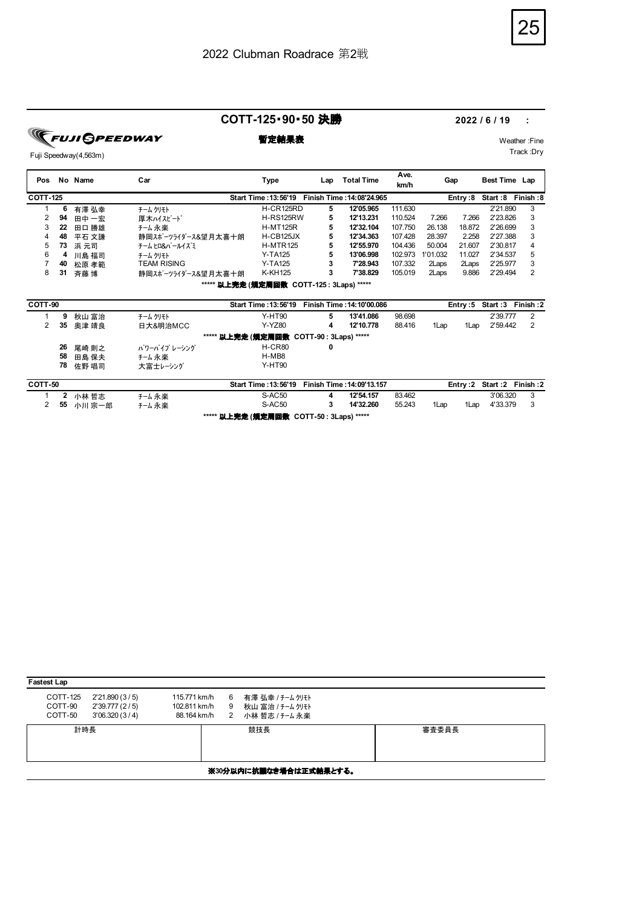25

**COTT-125**・**90**・**50** 決勝 **2022 / 6 / 19 :** 

**Ave.**

**FUJI GPEEDWAY** 

**暫定結果表** Weather :Fine Track :Dry

**Pos No Name Car Type Lap** Fuji Speedway(4,563m)

| Pos             |    | No Name | Car                |                                                 | Lap | <b>Total Time</b>         | <b>AVC.</b><br>km/h |          | Gap     | Best Time Lap    |           |
|-----------------|----|---------|--------------------|-------------------------------------------------|-----|---------------------------|---------------------|----------|---------|------------------|-----------|
| <b>COTT-125</b> |    |         |                    | <b>Start Time: 13:56'19</b>                     |     | Finish Time: 14:08'24.965 |                     |          | Entry:8 | Start:8 Finish:8 |           |
| 1               | 6  | 有澤 弘幸   | チーム クリモト           | H-CR125RD                                       | 5   | 12'05.965                 | 111.630             |          |         | 2'21.890         | 3         |
| 2               | 94 | 田中 一宏   | 厚木ハイスピード           | H-RS125RW                                       | 5   | 12'13.231                 | 110.524             | 7.266    | 7.266   | 2'23.826         | 3         |
| 3               | 22 | 田口 勝雄   | チーム永楽              | <b>H-MT125R</b>                                 | 5   | 12'32.104                 | 107.750             | 26.138   | 18.872  | 2'26.699         | 3         |
| 4               | 48 | 平石 文謙   | 静岡スポーツライダース&望月太喜十朗 | H-CB125JX                                       | 5   | 12'34.363                 | 107.428             | 28.397   | 2.258   | 2'27.388         | 3         |
| 5               | 73 | 浜 元司    | チーム ヒロ&パールイズミ      | <b>H-MTR125</b>                                 | 5   | 12'55.970                 | 104.436             | 50.004   | 21.607  | 2'30.817         | 4         |
| 6               | 4  | 川島 福司   | チーム クリモト           | <b>Y-TA125</b>                                  | 5   | 13'06.998                 | 102.973             | 1'01.032 | 11.027  | 2'34.537         | 5         |
|                 | 40 | 松原 孝範   | TEAM RISING        | <b>Y-TA125</b>                                  | 3   | 7'28.943                  | 107.332             | 2Laps    | 2Laps   | 2'25.977         | 3         |
| 8               | 31 | 斉藤 博    | 静岡スポーツライダース&望月太喜十朗 | K-KH125                                         | 3   | 7'38.829                  | 105.019             | 2Laps    | 9.886   | 2'29.494         | 2         |
|                 |    |         |                    | ***** 以上完走 (规定周回数 COTT-125: 3Laps) *****        |     |                           |                     |          |         |                  |           |
| COTT-90         |    |         |                    | Start Time: 13:56'19                            |     | Finish Time: 14:10'00.086 |                     |          | Entry:5 | Start:3          | Finish :2 |
|                 | 9  | 秋山 富治   | チーム クリモト           | Y-HT90                                          | 5   | 13'41.086                 | 98.698              |          |         | 2'39.777         | 2         |
| 2               | 35 | 奥津 靖良   | 日大&明治MCC           | Y-YZ80                                          | 4   | 12'10.778                 | 88.416              | 1Lap     | 1Lap    | 2'59.442         | 2         |
|                 |    |         |                    | ***** <b>以上完走 (規定周回数 COTT-90 : 3Laps) *****</b> |     |                           |                     |          |         |                  |           |
|                 | 26 | 尾崎 則之   | パワーパイプ レーシング       | H-CR80                                          | 0   |                           |                     |          |         |                  |           |
|                 | 58 | 田島 保夫   | チーム 永楽             | H-MB8                                           |     |                           |                     |          |         |                  |           |
|                 | 78 | 佐野 唱司   | 大富士レーシング           | <b>Y-HT90</b>                                   |     |                           |                     |          |         |                  |           |

| COTT-50 |          |       | <b>Start Time: 13:56'19</b>              | Finish Time : 14:09'13.157 |        |      |      |          | Entry: 2 Start: 2 Finish: 2 |
|---------|----------|-------|------------------------------------------|----------------------------|--------|------|------|----------|-----------------------------|
|         | 2 小林 哲志  | チーム永楽 | S-AC50                                   | 12'54.157                  | 83.462 |      |      | 3'06.320 |                             |
|         | 55 小川宗一郎 | チーム永楽 | $S-AC50$                                 | 14'32.260                  | 55.243 | 1Lap | 1Lap | 4'33.379 |                             |
|         |          |       | ***** 以上完走 (規定周回数 COTT-50 : 3Laps) ***** |                            |        |      |      |          |                             |

| <b>Fastest Lap</b>             |                                                  |                                             |             |                                                       |       |  |  |  |  |  |
|--------------------------------|--------------------------------------------------|---------------------------------------------|-------------|-------------------------------------------------------|-------|--|--|--|--|--|
| COTT-125<br>COTT-90<br>COTT-50 | 2'21.890(3/5)<br>2'39.777 (2/5)<br>3'06.320(3/4) | 115.771 km/h<br>102.811 km/h<br>88.164 km/h | 6<br>9<br>2 | 有澤 弘幸 / チーム クリモト<br>秋山 富治 / チーム クリモト<br>小林哲志 / チーム 永楽 |       |  |  |  |  |  |
| 計時長                            |                                                  |                                             |             | 競技長                                                   | 審査委員長 |  |  |  |  |  |
| ※30分以内に抗議なき場合は正式結果とする。         |                                                  |                                             |             |                                                       |       |  |  |  |  |  |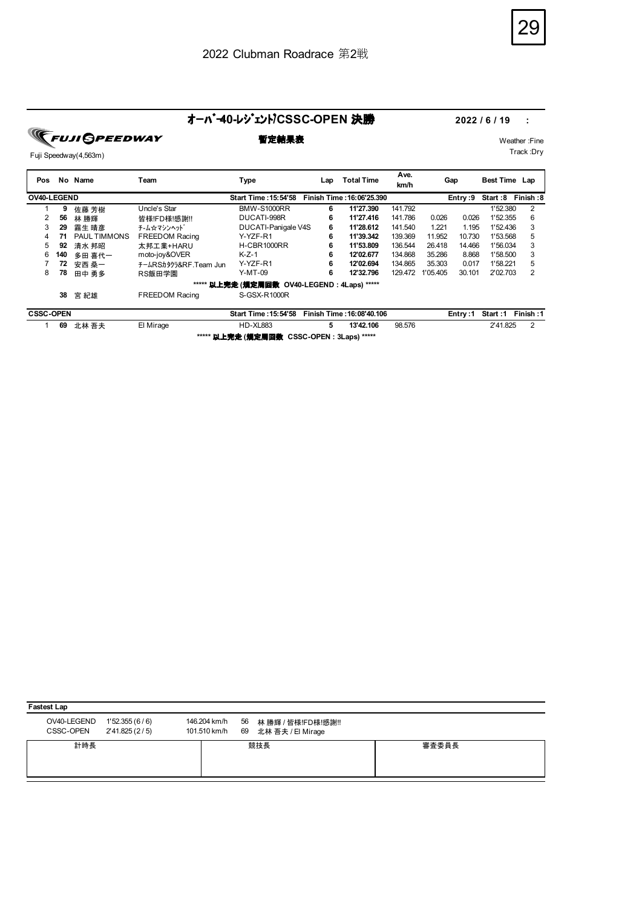## オーバー**40-**レジェンド**/CSSC-OPEN** 決勝 **2022 / 6 / 19 :**

**FUJI SPEEDWAY** 

# Fuji Speedway(4,563m)

**暫定結果表** Weather :Fine Track :Dry

| Pos              | No. | Name                | Team                  | Type                                                | Lap | <b>Total Time</b>         | Ave.<br>km/h | Gap      |          | Best Time Lap |           |
|------------------|-----|---------------------|-----------------------|-----------------------------------------------------|-----|---------------------------|--------------|----------|----------|---------------|-----------|
| OV40-LEGEND      |     |                     |                       | Start Time : 15:54'58                               |     | Finish Time: 16:06'25.390 |              |          | Entry :9 | Start :8      | Finish :8 |
|                  | 9   | 佐藤 芳樹               | Uncle's Star          | <b>BMW-S1000RR</b>                                  | 6   | 11'27.390                 | 141.792      |          |          | 1'52.380      | 2         |
|                  | 56  | 林 勝輝                | 皆様!FD様!感謝!!           | DUCATI-998R                                         | 6   | 11'27.416                 | 141.786      | 0.026    | 0.026    | 1'52.355      | 6         |
| 3                | 29  | 霧生 晴彦               | チ−ム☆マシンヘット゛           | DUCATI-Panigale V4S                                 | 6   | 11'28.612                 | 141.540      | 1.221    | 1.195    | 1'52.436      | 3         |
| 4                | 71  | <b>PAUL TIMMONS</b> | <b>FREEDOM Racing</b> | Y-YZF-R1                                            | 6   | 11'39.342                 | 139.369      | 11.952   | 10.730   | 1'53.568      | 5         |
| 5                | 92  | 清水 邦昭               | 太邦工業+HARU             | H-CBR1000RR                                         | 6   | 11'53.809                 | 136.544      | 26.418   | 14.466   | 1'56.034      | 3         |
| 6                | 140 | 多田 喜代一              | moto-joy&OVER         | $K-Z-1$                                             | 6   | 12'02.677                 | 134.868      | 35.286   | 8.868    | 1'58.500      | 3         |
|                  | 72  | 安西 桑一               | チームRSカタクラ&RF.Team Jun | Y-YZF-R1                                            | 6   | 12'02.694                 | 134.865      | 35.303   | 0.017    | 1'58.221      | 5         |
| 8                | 78  | 田中 勇多               | RS飯田学園                | $Y-MT-09$                                           | 6   | 12'32.796                 | 129.472      | 1'05.405 | 30.101   | 2'02.703      | 2         |
|                  |     |                     |                       | ***** <b>以上完走 (規定周回数 OV40-LEGEND : 4Laps) *****</b> |     |                           |              |          |          |               |           |
|                  | 38  | 宮 紀雄                | <b>FREEDOM Racing</b> | S-GSX-R1000R                                        |     |                           |              |          |          |               |           |
| <b>CSSC-OPEN</b> |     |                     |                       | <b>Start Time: 15:54'58</b>                         |     | Finish Time: 16:08'40.106 |              |          | Entry:1  | Start: 1      | Finish:1  |
|                  | 69  | 北林 吾夫               | El Mirage             | <b>HD-XL883</b>                                     | 5   | 13'42.106                 | 98.576       |          |          | 2'41.825      | 2         |
|                  |     |                     |                       | ***** <b>以上完走 (規定周回数 CSSC-OPEN : 3Laps) *****</b>   |     |                           |              |          |          |               |           |

| <b>Fastest Lap</b>       |                                 |              |                                                          |       |  |  |  |  |  |  |
|--------------------------|---------------------------------|--------------|----------------------------------------------------------|-------|--|--|--|--|--|--|
| OV40-LEGEND<br>CSSC-OPEN | 1'52.355(6/6)<br>2'41.825 (2/5) | 146.204 km/h | 56 林勝輝 / 皆様!FD様!感謝!!<br>101.510 km/h 69 北林吾夫 / El Mirage |       |  |  |  |  |  |  |
| 計時長                      |                                 |              | 競技長                                                      | 審査委員長 |  |  |  |  |  |  |